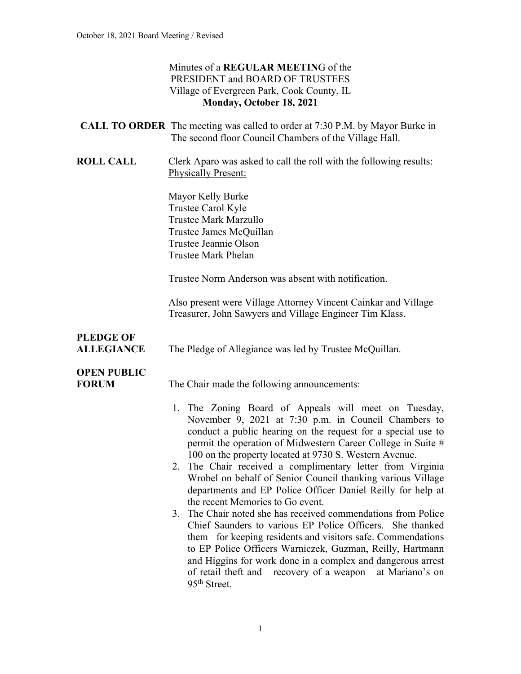#### Minutes of a **REGULAR MEETIN**G of the PRESIDENT and BOARD OF TRUSTEES Village of Evergreen Park, Cook County, IL **Monday, October 18, 2021**

|                                       | <b>CALL TO ORDER</b> The meeting was called to order at 7:30 P.M. by Mayor Burke in<br>The second floor Council Chambers of the Village Hall.                                                                                                                                                                                                                                                                                                                                                                                                                                                                                                                                                                                                                                                                                                                                                                                                                                       |
|---------------------------------------|-------------------------------------------------------------------------------------------------------------------------------------------------------------------------------------------------------------------------------------------------------------------------------------------------------------------------------------------------------------------------------------------------------------------------------------------------------------------------------------------------------------------------------------------------------------------------------------------------------------------------------------------------------------------------------------------------------------------------------------------------------------------------------------------------------------------------------------------------------------------------------------------------------------------------------------------------------------------------------------|
| <b>ROLL CALL</b>                      | Clerk Aparo was asked to call the roll with the following results:<br><b>Physically Present:</b>                                                                                                                                                                                                                                                                                                                                                                                                                                                                                                                                                                                                                                                                                                                                                                                                                                                                                    |
|                                       | Mayor Kelly Burke<br>Trustee Carol Kyle<br><b>Trustee Mark Marzullo</b><br>Trustee James McQuillan<br>Trustee Jeannie Olson<br>Trustee Mark Phelan                                                                                                                                                                                                                                                                                                                                                                                                                                                                                                                                                                                                                                                                                                                                                                                                                                  |
|                                       | Trustee Norm Anderson was absent with notification.                                                                                                                                                                                                                                                                                                                                                                                                                                                                                                                                                                                                                                                                                                                                                                                                                                                                                                                                 |
|                                       | Also present were Village Attorney Vincent Cainkar and Village<br>Treasurer, John Sawyers and Village Engineer Tim Klass.                                                                                                                                                                                                                                                                                                                                                                                                                                                                                                                                                                                                                                                                                                                                                                                                                                                           |
| <b>PLEDGE OF</b><br><b>ALLEGIANCE</b> | The Pledge of Allegiance was led by Trustee McQuillan.                                                                                                                                                                                                                                                                                                                                                                                                                                                                                                                                                                                                                                                                                                                                                                                                                                                                                                                              |
| <b>OPEN PUBLIC</b><br><b>FORUM</b>    | The Chair made the following announcements:<br>1. The Zoning Board of Appeals will meet on Tuesday,<br>November 9, 2021 at 7:30 p.m. in Council Chambers to<br>conduct a public hearing on the request for a special use to<br>permit the operation of Midwestern Career College in Suite #<br>100 on the property located at 9730 S. Western Avenue.<br>2. The Chair received a complimentary letter from Virginia<br>Wrobel on behalf of Senior Council thanking various Village<br>departments and EP Police Officer Daniel Reilly for help at<br>the recent Memories to Go event.<br>The Chair noted she has received commendations from Police<br>3.<br>Chief Saunders to various EP Police Officers. She thanked<br>them for keeping residents and visitors safe. Commendations<br>to EP Police Officers Warniczek, Guzman, Reilly, Hartmann<br>and Higgins for work done in a complex and dangerous arrest<br>recovery of a weapon<br>of retail theft and<br>at Mariano's on |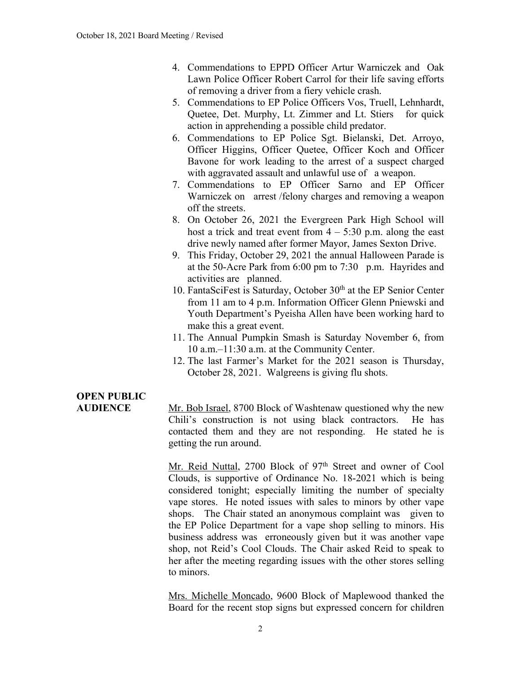- 4. Commendations to EPPD Officer Artur Warniczek and Oak Lawn Police Officer Robert Carrol for their life saving efforts of removing a driver from a fiery vehicle crash.
- 5. Commendations to EP Police Officers Vos, Truell, Lehnhardt, Quetee, Det. Murphy, Lt. Zimmer and Lt. Stiers for quick action in apprehending a possible child predator.
- 6. Commendations to EP Police Sgt. Bielanski, Det. Arroyo, Officer Higgins, Officer Quetee, Officer Koch and Officer Bavone for work leading to the arrest of a suspect charged with aggravated assault and unlawful use of a weapon.
- 7. Commendations to EP Officer Sarno and EP Officer Warniczek on arrest /felony charges and removing a weapon off the streets.
- 8. On October 26, 2021 the Evergreen Park High School will host a trick and treat event from  $4 - 5:30$  p.m. along the east drive newly named after former Mayor, James Sexton Drive.
- 9. This Friday, October 29, 2021 the annual Halloween Parade is at the 50-Acre Park from 6:00 pm to 7:30 p.m. Hayrides and activities are planned.
- 10. FantaSciFest is Saturday, October 30<sup>th</sup> at the EP Senior Center from 11 am to 4 p.m. Information Officer Glenn Pniewski and Youth Department's Pyeisha Allen have been working hard to make this a great event.
- 11. The Annual Pumpkin Smash is Saturday November 6, from 10 a.m.–11:30 a.m. at the Community Center.
- 12. The last Farmer's Market for the 2021 season is Thursday, October 28, 2021. Walgreens is giving flu shots.

# **OPEN PUBLIC**

**AUDIENCE** Mr. Bob Israel, 8700 Block of Washtenaw questioned why the new Chili's construction is not using black contractors. He has contacted them and they are not responding. He stated he is getting the run around.

> Mr. Reid Nuttal, 2700 Block of 97<sup>th</sup> Street and owner of Cool Clouds, is supportive of Ordinance No. 18-2021 which is being considered tonight; especially limiting the number of specialty vape stores. He noted issues with sales to minors by other vape shops. The Chair stated an anonymous complaint was given to the EP Police Department for a vape shop selling to minors. His business address was erroneously given but it was another vape shop, not Reid's Cool Clouds. The Chair asked Reid to speak to her after the meeting regarding issues with the other stores selling to minors.

> Mrs. Michelle Moncado, 9600 Block of Maplewood thanked the Board for the recent stop signs but expressed concern for children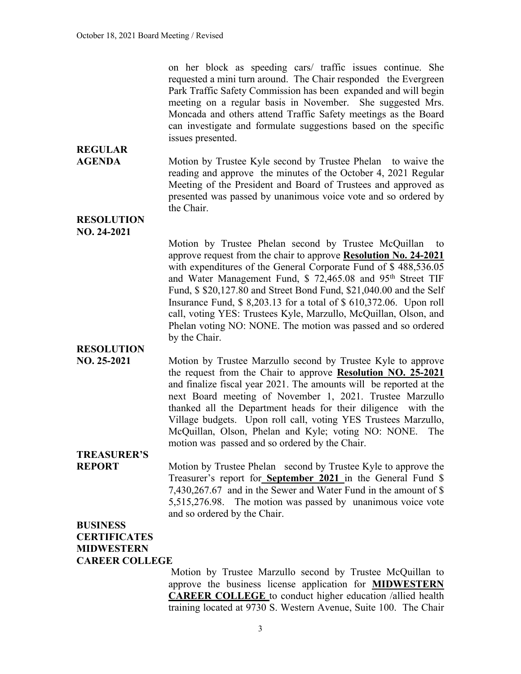on her block as speeding cars/ traffic issues continue. She requested a mini turn around. The Chair responded the Evergreen Park Traffic Safety Commission has been expanded and will begin meeting on a regular basis in November. She suggested Mrs. Moncada and others attend Traffic Safety meetings as the Board can investigate and formulate suggestions based on the specific issues presented.

#### **AGENDA** Motion by Trustee Kyle second by Trustee Phelan to waive the reading and approve the minutes of the October 4, 2021 Regular Meeting of the President and Board of Trustees and approved as presented was passed by unanimous voice vote and so ordered by the Chair.

**RESOLUTION NO. 24-2021**

**REGULAR** 

Motion by Trustee Phelan second by Trustee McQuillan to approve request from the chair to approve **Resolution No. 24-2021** with expenditures of the General Corporate Fund of \$ 488,536.05 and Water Management Fund, \$ 72,465.08 and 95th Street TIF Fund, \$ \$20,127.80 and Street Bond Fund, \$21,040.00 and the Self Insurance Fund, \$ 8,203.13 for a total of \$ 610,372.06. Upon roll call, voting YES: Trustees Kyle, Marzullo, McQuillan, Olson, and Phelan voting NO: NONE. The motion was passed and so ordered by the Chair.

**RESOLUTION**

**NO. 25-2021** Motion by Trustee Marzullo second by Trustee Kyle to approve the request from the Chair to approve **Resolution NO. 25-2021** and finalize fiscal year 2021. The amounts will be reported at the next Board meeting of November 1, 2021. Trustee Marzullo thanked all the Department heads for their diligence with the Village budgets. Upon roll call, voting YES Trustees Marzullo, McQuillan, Olson, Phelan and Kyle; voting NO: NONE. The motion was passed and so ordered by the Chair.

## **TREASURER'S**

**REPORT** Motion by Trustee Phelan second by Trustee Kyle to approve the Treasurer's report for **September 2021** in the General Fund \$ 7,430,267.67 and in the Sewer and Water Fund in the amount of \$ 5,515,276.98. The motion was passed by unanimous voice vote and so ordered by the Chair.

#### **BUSINESS CERTIFICATES MIDWESTERN CAREER COLLEGE**

Motion by Trustee Marzullo second by Trustee McQuillan to approve the business license application for **MIDWESTERN CAREER COLLEGE** to conduct higher education /allied health training located at 9730 S. Western Avenue, Suite 100. The Chair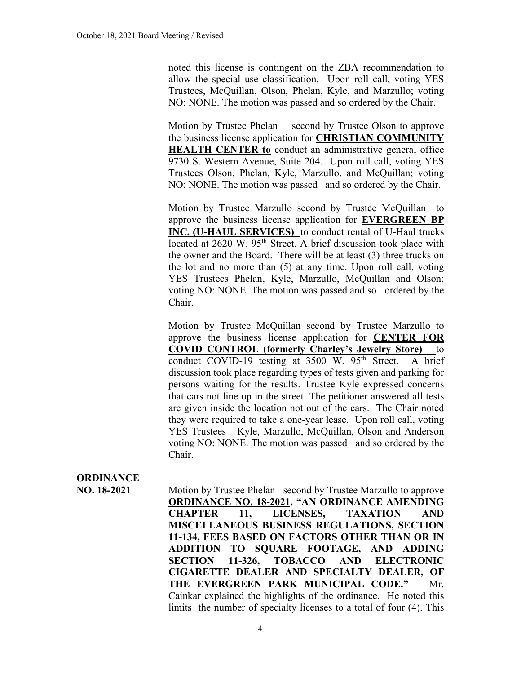noted this license is contingent on the ZBA recommendation to allow the special use classification. Upon roll call, voting YES Trustees, McQuillan, Olson, Phelan, Kyle, and Marzullo; voting NO: NONE. The motion was passed and so ordered by the Chair.

Motion by Trustee Phelan second by Trustee Olson to approve the business license application for **CHRISTIAN COMMUNITY HEALTH CENTER to** conduct an administrative general office 9730 S. Western Avenue, Suite 204. Upon roll call, voting YES Trustees Olson, Phelan, Kyle, Marzullo, and McQuillan; voting NO: NONE. The motion was passed and so ordered by the Chair.

Motion by Trustee Marzullo second by Trustee McQuillan to approve the business license application for **EVERGREEN BP INC. (U-HAUL SERVICES)** to conduct rental of U-Haul trucks located at 2620 W. 95<sup>th</sup> Street. A brief discussion took place with the owner and the Board. There will be at least (3) three trucks on the lot and no more than (5) at any time. Upon roll call, voting YES Trustees Phelan, Kyle, Marzullo, McQuillan and Olson; voting NO: NONE. The motion was passed and so ordered by the Chair.

Motion by Trustee McQuillan second by Trustee Marzullo to approve the business license application for **CENTER FOR COVID CONTROL (formerly Charley's Jewelry Store)** to conduct COVID-19 testing at 3500 W. 95<sup>th</sup> Street. A brief discussion took place regarding types of tests given and parking for persons waiting for the results. Trustee Kyle expressed concerns that cars not line up in the street. The petitioner answered all tests are given inside the location not out of the cars. The Chair noted they were required to take a one-year lease. Upon roll call, voting YES Trustees Kyle, Marzullo, McQuillan, Olson and Anderson voting NO: NONE. The motion was passed and so ordered by the Chair.

### **ORDINANCE**

**NO. 18-2021** Motion by Trustee Phelan second by Trustee Marzullo to approve **ORDINANCE NO. 18-2021, "AN ORDINANCE AMENDING CHAPTER 11, LICENSES, TAXATION AND MISCELLANEOUS BUSINESS REGULATIONS, SECTION 11-134, FEES BASED ON FACTORS OTHER THAN OR IN ADDITION TO SQUARE FOOTAGE, AND ADDING SECTION 11-326, TOBACCO AND ELECTRONIC CIGARETTE DEALER AND SPECIALTY DEALER, OF THE EVERGREEN PARK MUNICIPAL CODE."** Mr. Cainkar explained the highlights of the ordinance. He noted this limits the number of specialty licenses to a total of four (4). This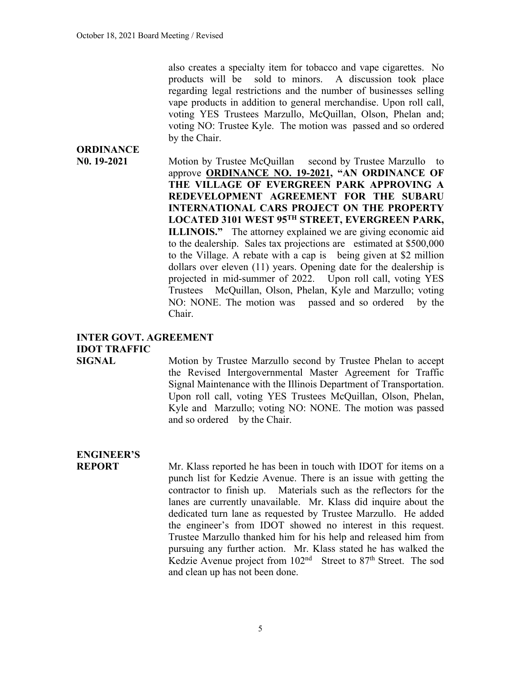also creates a specialty item for tobacco and vape cigarettes. No products will be sold to minors. A discussion took place regarding legal restrictions and the number of businesses selling vape products in addition to general merchandise. Upon roll call, voting YES Trustees Marzullo, McQuillan, Olson, Phelan and; voting NO: Trustee Kyle. The motion was passed and so ordered by the Chair.

**N0. 19-2021** Motion by Trustee McQuillan second by Trustee Marzullo to approve **ORDINANCE NO. 19-2021, "AN ORDINANCE OF THE VILLAGE OF EVERGREEN PARK APPROVING A REDEVELOPMENT AGREEMENT FOR THE SUBARU INTERNATIONAL CARS PROJECT ON THE PROPERTY LOCATED 3101 WEST 95TH STREET, EVERGREEN PARK, ILLINOIS."** The attorney explained we are giving economic aid to the dealership. Sales tax projections are estimated at \$500,000 to the Village. A rebate with a cap is being given at \$2 million dollars over eleven (11) years. Opening date for the dealership is projected in mid-summer of 2022. Upon roll call, voting YES Trustees McQuillan, Olson, Phelan, Kyle and Marzullo; voting NO: NONE. The motion was passed and so ordered by the Chair.

#### **INTER GOVT. AGREEMENT IDOT TRAFFIC**

**SIGNAL** Motion by Trustee Marzullo second by Trustee Phelan to accept the Revised Intergovernmental Master Agreement for Traffic Signal Maintenance with the Illinois Department of Transportation. Upon roll call, voting YES Trustees McQuillan, Olson, Phelan, Kyle and Marzullo; voting NO: NONE. The motion was passed and so ordered by the Chair.

## **ENGINEER'S**

**ORDINANCE**

**REPORT** Mr. Klass reported he has been in touch with IDOT for items on a punch list for Kedzie Avenue. There is an issue with getting the contractor to finish up. Materials such as the reflectors for the lanes are currently unavailable. Mr. Klass did inquire about the dedicated turn lane as requested by Trustee Marzullo. He added the engineer's from IDOT showed no interest in this request. Trustee Marzullo thanked him for his help and released him from pursuing any further action. Mr. Klass stated he has walked the Kedzie Avenue project from  $102<sup>nd</sup>$  Street to 87<sup>th</sup> Street. The sod and clean up has not been done.